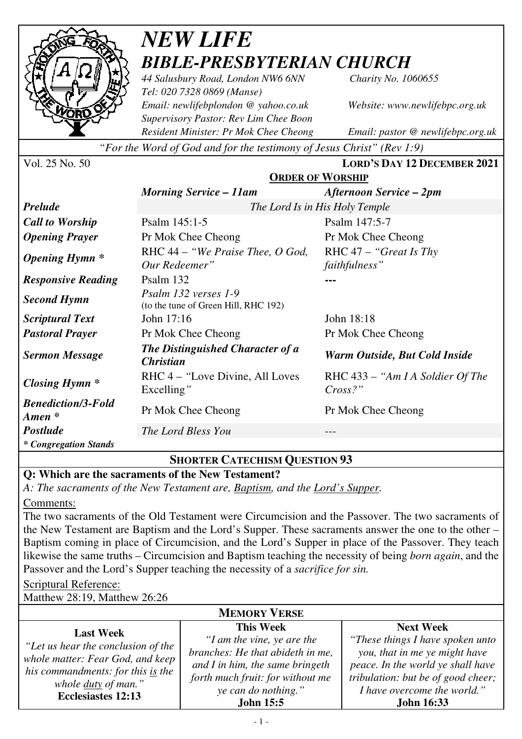

## *NEW LIFE BIBLE-PRESBYTERIAN CHURCH*

*44 Salusbury Road, London NW6 6NN Charity No. 1060655 Tel: 020 7328 0869 (Manse) Email: newlifebplondon @ yahoo.co.uk Website: www.newlifebpc.org.uk Supervisory Pastor: Rev Lim Chee Boon Resident Minister: Pr Mok Chee Cheong Email: pastor @ newlifebpc.org.uk* 

*"For the Word of God and for the testimony of Jesus Christ" (Rev 1:9)*

| Vol. 25 No. 50                      | <b>LORD'S DAY 12 DECEMBER 2021</b>                           |                                                 |  |
|-------------------------------------|--------------------------------------------------------------|-------------------------------------------------|--|
|                                     | <b>ORDER OF WORSHIP</b>                                      |                                                 |  |
|                                     | <b>Morning Service – 11am</b>                                | Afternoon Service – 2pm                         |  |
| <b>Prelude</b>                      | The Lord Is in His Holy Temple                               |                                                 |  |
| <b>Call to Worship</b>              | Psalm 145:1-5                                                | Psalm 147:5-7                                   |  |
| <b>Opening Prayer</b>               | Pr Mok Chee Cheong                                           | Pr Mok Chee Cheong                              |  |
| <b>Opening Hymn</b> *               | RHC 44 – "We Praise Thee, O God,<br>Our Redeemer"            | RHC $47 -$ "Great Is Thy"<br>faithfulness"      |  |
| <b>Responsive Reading</b>           | Psalm 132                                                    |                                                 |  |
| <b>Second Hymn</b>                  | Psalm 132 verses 1-9<br>(to the tune of Green Hill, RHC 192) |                                                 |  |
| <i>Scriptural Text</i>              | John 17:16                                                   | John 18:18                                      |  |
| <b>Pastoral Prayer</b>              | Pr Mok Chee Cheong                                           | Pr Mok Chee Cheong                              |  |
| <b>Sermon Message</b>               | The Distinguished Character of a<br><b>Christian</b>         | Warm Outside, But Cold Inside                   |  |
| <b>Closing Hymn</b> *               | RHC 4 – "Love Divine, All Loves"<br>Excelling"               | RHC $433 - "Am IA$ Soldier Of The<br>$Cross?$ " |  |
| <b>Benediction/3-Fold</b><br>Amen * | Pr Mok Chee Cheong                                           | Pr Mok Chee Cheong                              |  |
| <b>Postlude</b>                     | The Lord Bless You                                           |                                                 |  |
| <i>* Congregation Stands</i>        |                                                              |                                                 |  |

#### **SHORTER CATECHISM QUESTION 93**

**Q: Which are the sacraments of the New Testament?** 

*A: The sacraments of the New Testament are, Baptism, and the Lord's Supper.* 

Comments:

The two sacraments of the Old Testament were Circumcision and the Passover. The two sacraments of the New Testament are Baptism and the Lord's Supper. These sacraments answer the one to the other – Baptism coming in place of Circumcision, and the Lord's Supper in place of the Passover. They teach likewise the same truths – Circumcision and Baptism teaching the necessity of being *born again*, and the Passover and the Lord's Supper teaching the necessity of a *sacrifice for sin.* 

Scriptural Reference:

Matthew 28:19, Matthew 26:26

| <b>MEMORY VERSE</b>                                                                                                                                                                 |                                                                                                                                                                                                      |                                                                                                                                                                                                                       |  |
|-------------------------------------------------------------------------------------------------------------------------------------------------------------------------------------|------------------------------------------------------------------------------------------------------------------------------------------------------------------------------------------------------|-----------------------------------------------------------------------------------------------------------------------------------------------------------------------------------------------------------------------|--|
| <b>Last Week</b><br>"Let us hear the conclusion of the<br>whole matter: Fear God, and keep<br>his commandments: for this is the<br>whole duty of man."<br><b>Ecclesiastes 12:13</b> | <b>This Week</b><br>"I am the vine, ye are the<br>branches: He that abideth in me,<br>and I in him, the same bringeth<br>forth much fruit: for without me<br>ye can do nothing."<br><b>John 15:5</b> | <b>Next Week</b><br>"These things I have spoken unto"<br>you, that in me ye might have<br>peace. In the world ye shall have<br>tribulation: but be of good cheer;<br>I have overcome the world."<br><b>John 16:33</b> |  |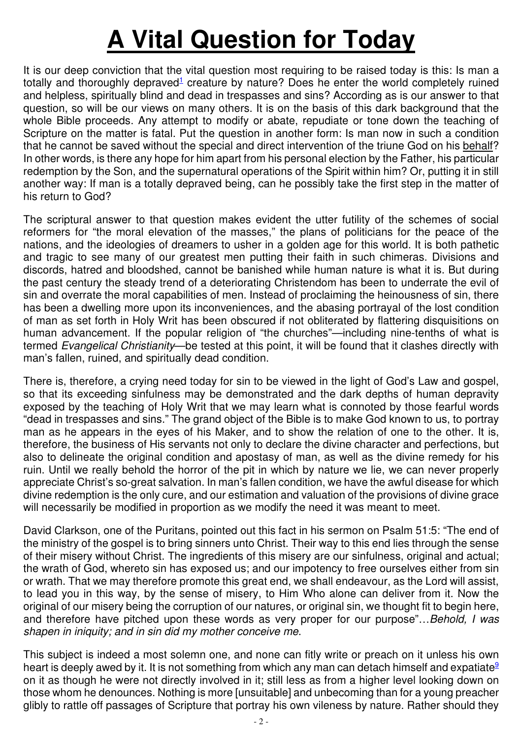# **A Vital Question for Today**

It is our deep conviction that the vital question most requiring to be raised today is this: Is man a totally and thoroughly depraved<sup>1</sup> creature by nature? Does he enter the world completely ruined and helpless, spiritually blind and dead in trespasses and sins? According as is our answer to that question, so will be our views on many others. It is on the basis of this dark background that the whole Bible proceeds. Any attempt to modify or abate, repudiate or tone down the teaching of Scripture on the matter is fatal. Put the question in another form: Is man now in such a condition that he cannot be saved without the special and direct intervention of the triune God on his behalf? In other words, is there any hope for him apart from his personal election by the Father, his particular redemption by the Son, and the supernatural operations of the Spirit within him? Or, putting it in still another way: If man is a totally depraved being, can he possibly take the first step in the matter of his return to God?

The scriptural answer to that question makes evident the utter futility of the schemes of social reformers for "the moral elevation of the masses," the plans of politicians for the peace of the nations, and the ideologies of dreamers to usher in a golden age for this world. It is both pathetic and tragic to see many of our greatest men putting their faith in such chimeras. Divisions and discords, hatred and bloodshed, cannot be banished while human nature is what it is. But during the past century the steady trend of a deteriorating Christendom has been to underrate the evil of sin and overrate the moral capabilities of men. Instead of proclaiming the heinousness of sin, there has been a dwelling more upon its inconveniences, and the abasing portrayal of the lost condition of man as set forth in Holy Writ has been obscured if not obliterated by flattering disquisitions on human advancement. If the popular religion of "the churches"—including nine-tenths of what is termed Evangelical Christianity—be tested at this point, it will be found that it clashes directly with man's fallen, ruined, and spiritually dead condition.

There is, therefore, a crying need today for sin to be viewed in the light of God's Law and gospel, so that its exceeding sinfulness may be demonstrated and the dark depths of human depravity exposed by the teaching of Holy Writ that we may learn what is connoted by those fearful words "dead in trespasses and sins." The grand object of the Bible is to make God known to us, to portray man as he appears in the eyes of his Maker, and to show the relation of one to the other. It is, therefore, the business of His servants not only to declare the divine character and perfections, but also to delineate the original condition and apostasy of man, as well as the divine remedy for his ruin. Until we really behold the horror of the pit in which by nature we lie, we can never properly appreciate Christ's so-great salvation. In man's fallen condition, we have the awful disease for which divine redemption is the only cure, and our estimation and valuation of the provisions of divine grace will necessarily be modified in proportion as we modify the need it was meant to meet.

David Clarkson, one of the Puritans, pointed out this fact in his sermon on Psalm 51:5: "The end of the ministry of the gospel is to bring sinners unto Christ. Their way to this end lies through the sense of their misery without Christ. The ingredients of this misery are our sinfulness, original and actual; the wrath of God, whereto sin has exposed us; and our impotency to free ourselves either from sin or wrath. That we may therefore promote this great end, we shall endeavour, as the Lord will assist, to lead you in this way, by the sense of misery, to Him Who alone can deliver from it. Now the original of our misery being the corruption of our natures, or original sin, we thought fit to begin here, and therefore have pitched upon these words as very proper for our purpose"…Behold, I was shapen in iniquity; and in sin did my mother conceive me.

This subject is indeed a most solemn one, and none can fitly write or preach on it unless his own heart is deeply awed by it. It is not something from which any man can detach himself and expatiate<sup>9</sup> on it as though he were not directly involved in it; still less as from a higher level looking down on those whom he denounces. Nothing is more [unsuitable] and unbecoming than for a young preacher glibly to rattle off passages of Scripture that portray his own vileness by nature. Rather should they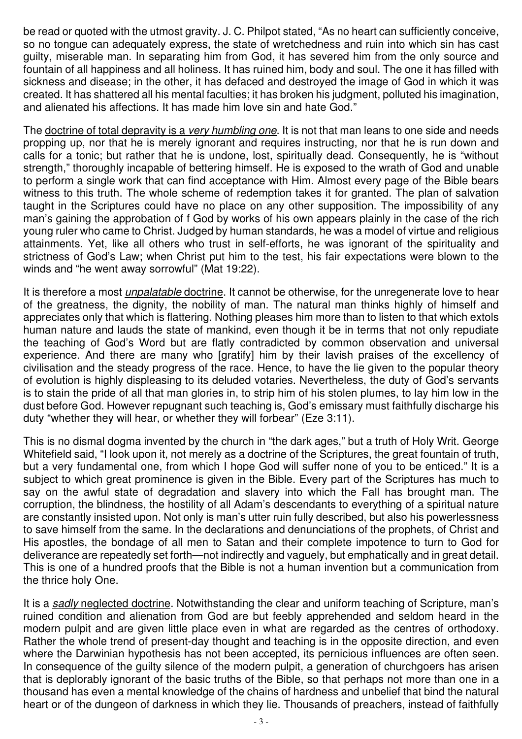be read or quoted with the utmost gravity. J. C. Philpot stated, "As no heart can sufficiently conceive, so no tongue can adequately express, the state of wretchedness and ruin into which sin has cast guilty, miserable man. In separating him from God, it has severed him from the only source and fountain of all happiness and all holiness. It has ruined him, body and soul. The one it has filled with sickness and disease; in the other, it has defaced and destroyed the image of God in which it was created. It has shattered all his mental faculties; it has broken his judgment, polluted his imagination, and alienated his affections. It has made him love sin and hate God."

The doctrine of total depravity is a *very humbling one*. It is not that man leans to one side and needs propping up, nor that he is merely ignorant and requires instructing, nor that he is run down and calls for a tonic; but rather that he is undone, lost, spiritually dead. Consequently, he is "without strength," thoroughly incapable of bettering himself. He is exposed to the wrath of God and unable to perform a single work that can find acceptance with Him. Almost every page of the Bible bears witness to this truth. The whole scheme of redemption takes it for granted. The plan of salvation taught in the Scriptures could have no place on any other supposition. The impossibility of any man's gaining the approbation of f God by works of his own appears plainly in the case of the rich young ruler who came to Christ. Judged by human standards, he was a model of virtue and religious attainments. Yet, like all others who trust in self-efforts, he was ignorant of the spirituality and strictness of God's Law; when Christ put him to the test, his fair expectations were blown to the winds and "he went away sorrowful" (Mat 19:22).

It is therefore a most *unpalatable* doctrine. It cannot be otherwise, for the unregenerate love to hear of the greatness, the dignity, the nobility of man. The natural man thinks highly of himself and appreciates only that which is flattering. Nothing pleases him more than to listen to that which extols human nature and lauds the state of mankind, even though it be in terms that not only repudiate the teaching of God's Word but are flatly contradicted by common observation and universal experience. And there are many who [gratify] him by their lavish praises of the excellency of civilisation and the steady progress of the race. Hence, to have the lie given to the popular theory of evolution is highly displeasing to its deluded votaries. Nevertheless, the duty of God's servants is to stain the pride of all that man glories in, to strip him of his stolen plumes, to lay him low in the dust before God. However repugnant such teaching is, God's emissary must faithfully discharge his duty "whether they will hear, or whether they will forbear" (Eze 3:11).

This is no dismal dogma invented by the church in "the dark ages," but a truth of Holy Writ. George Whitefield said, "I look upon it, not merely as a doctrine of the Scriptures, the great fountain of truth, but a very fundamental one, from which I hope God will suffer none of you to be enticed." It is a subject to which great prominence is given in the Bible. Every part of the Scriptures has much to say on the awful state of degradation and slavery into which the Fall has brought man. The corruption, the blindness, the hostility of all Adam's descendants to everything of a spiritual nature are constantly insisted upon. Not only is man's utter ruin fully described, but also his powerlessness to save himself from the same. In the declarations and denunciations of the prophets, of Christ and His apostles, the bondage of all men to Satan and their complete impotence to turn to God for deliverance are repeatedly set forth—not indirectly and vaguely, but emphatically and in great detail. This is one of a hundred proofs that the Bible is not a human invention but a communication from the thrice holy One.

It is a sadly neglected doctrine. Notwithstanding the clear and uniform teaching of Scripture, man's ruined condition and alienation from God are but feebly apprehended and seldom heard in the modern pulpit and are given little place even in what are regarded as the centres of orthodoxy. Rather the whole trend of present-day thought and teaching is in the opposite direction, and even where the Darwinian hypothesis has not been accepted, its pernicious influences are often seen. In consequence of the guilty silence of the modern pulpit, a generation of churchgoers has arisen that is deplorably ignorant of the basic truths of the Bible, so that perhaps not more than one in a thousand has even a mental knowledge of the chains of hardness and unbelief that bind the natural heart or of the dungeon of darkness in which they lie. Thousands of preachers, instead of faithfully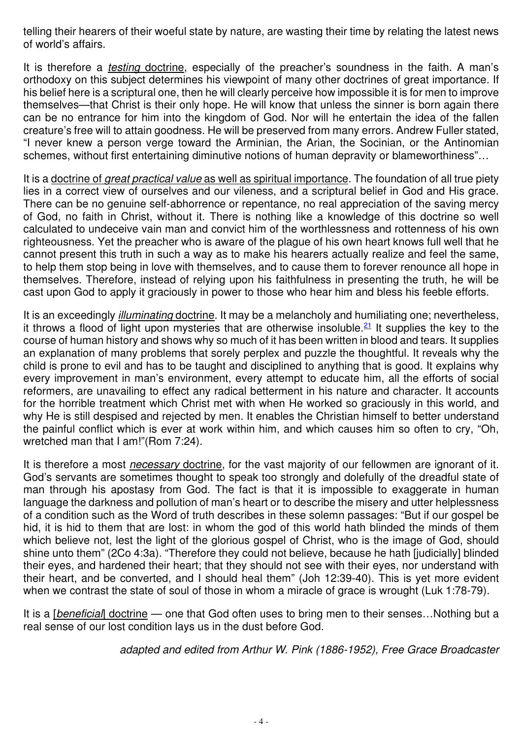telling their hearers of their woeful state by nature, are wasting their time by relating the latest news of world's affairs.

It is therefore a *testing* doctrine, especially of the preacher's soundness in the faith. A man's orthodoxy on this subject determines his viewpoint of many other doctrines of great importance. If his belief here is a scriptural one, then he will clearly perceive how impossible it is for men to improve themselves—that Christ is their only hope. He will know that unless the sinner is born again there can be no entrance for him into the kingdom of God. Nor will he entertain the idea of the fallen creature's free will to attain goodness. He will be preserved from many errors. Andrew Fuller stated, "I never knew a person verge toward the Arminian, the Arian, the Socinian, or the Antinomian schemes, without first entertaining diminutive notions of human depravity or blameworthiness"…

It is a doctrine of *great practical value* as well as spiritual importance. The foundation of all true piety lies in a correct view of ourselves and our vileness, and a scriptural belief in God and His grace. There can be no genuine self-abhorrence or repentance, no real appreciation of the saving mercy of God, no faith in Christ, without it. There is nothing like a knowledge of this doctrine so well calculated to undeceive vain man and convict him of the worthlessness and rottenness of his own righteousness. Yet the preacher who is aware of the plague of his own heart knows full well that he cannot present this truth in such a way as to make his hearers actually realize and feel the same, to help them stop being in love with themselves, and to cause them to forever renounce all hope in themselves. Therefore, instead of relying upon his faithfulness in presenting the truth, he will be cast upon God to apply it graciously in power to those who hear him and bless his feeble efforts.

It is an exceedingly *illuminating* doctrine. It may be a melancholy and humiliating one; nevertheless, it throws a flood of light upon mysteries that are otherwise insoluble.<sup>21</sup> It supplies the key to the course of human history and shows why so much of it has been written in blood and tears. It supplies an explanation of many problems that sorely perplex and puzzle the thoughtful. It reveals why the child is prone to evil and has to be taught and disciplined to anything that is good. It explains why every improvement in man's environment, every attempt to educate him, all the efforts of social reformers, are unavailing to effect any radical betterment in his nature and character. It accounts for the horrible treatment which Christ met with when He worked so graciously in this world, and why He is still despised and rejected by men. It enables the Christian himself to better understand the painful conflict which is ever at work within him, and which causes him so often to cry, "Oh, wretched man that I am!"(Rom 7:24).

It is therefore a most *necessary* doctrine, for the vast majority of our fellowmen are ignorant of it. God's servants are sometimes thought to speak too strongly and dolefully of the dreadful state of man through his apostasy from God. The fact is that it is impossible to exaggerate in human language the darkness and pollution of man's heart or to describe the misery and utter helplessness of a condition such as the Word of truth describes in these solemn passages: "But if our gospel be hid, it is hid to them that are lost: in whom the god of this world hath blinded the minds of them which believe not, lest the light of the glorious gospel of Christ, who is the image of God, should shine unto them" (2Co 4:3a). "Therefore they could not believe, because he hath [judicially] blinded their eyes, and hardened their heart; that they should not see with their eyes, nor understand with their heart, and be converted, and I should heal them" (Joh 12:39-40). This is yet more evident when we contrast the state of soul of those in whom a miracle of grace is wrought (Luk 1:78-79).

It is a [beneficial] doctrine — one that God often uses to bring men to their senses...Nothing but a real sense of our lost condition lays us in the dust before God.

adapted and edited from Arthur W. Pink (1886-1952), Free Grace Broadcaster